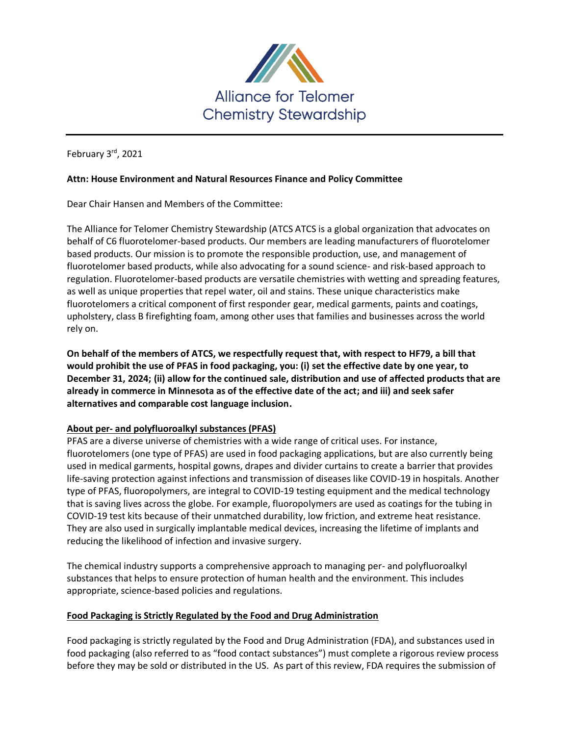

February 3rd, 2021

## **Attn: House Environment and Natural Resources Finance and Policy Committee**

Dear Chair Hansen and Members of the Committee:

The Alliance for Telomer Chemistry Stewardship (ATCS ATCS is a global organization that advocates on behalf of C6 fluorotelomer-based products. Our members are leading manufacturers of fluorotelomer based products. Our mission is to promote the responsible production, use, and management of fluorotelomer based products, while also advocating for a sound science- and risk-based approach to regulation. Fluorotelomer-based products are versatile chemistries with wetting and spreading features, as well as unique properties that repel water, oil and stains. These unique characteristics make fluorotelomers a critical component of first responder gear, medical garments, paints and coatings, upholstery, class B firefighting foam, among other uses that families and businesses across the world rely on.

**On behalf of the members of ATCS, we respectfully request that, with respect to HF79, a bill that would prohibit the use of PFAS in food packaging, you: (i) set the effective date by one year, to December 31, 2024; (ii) allow for the continued sale, distribution and use of affected products that are already in commerce in Minnesota as of the effective date of the act; and iii) and seek safer alternatives and comparable cost language inclusion.**

## **About per- and polyfluoroalkyl substances (PFAS)**

PFAS are a diverse universe of chemistries with a wide range of critical uses. For instance, fluorotelomers (one type of PFAS) are used in food packaging applications, but are also currently being used in medical garments, hospital gowns, drapes and divider curtains to create a barrier that provides life-saving protection against infections and transmission of diseases like COVID-19 in hospitals. Another type of PFAS, fluoropolymers, are integral to COVID-19 testing equipment and the medical technology that is saving lives across the globe. For example, fluoropolymers are used as coatings for the tubing in COVID-19 test kits because of their unmatched durability, low friction, and extreme heat resistance. They are also used in surgically implantable medical devices, increasing the lifetime of implants and reducing the likelihood of infection and invasive surgery.

The chemical industry supports a comprehensive approach to managing per- and polyfluoroalkyl substances that helps to ensure protection of human health and the environment. This includes appropriate, science-based policies and regulations.

## **Food Packaging is Strictly Regulated by the Food and Drug Administration**

Food packaging is strictly regulated by the Food and Drug Administration (FDA), and substances used in food packaging (also referred to as "food contact substances") must complete a rigorous review process before they may be sold or distributed in the US. As part of this review, FDA requires the submission of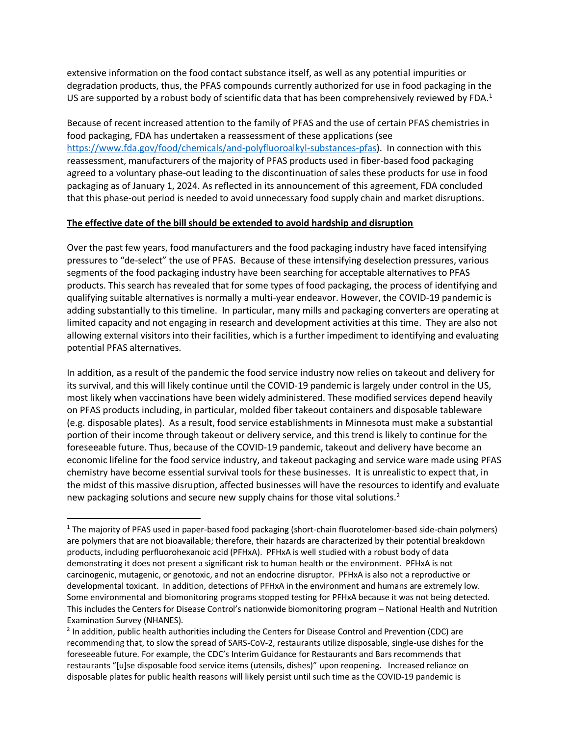extensive information on the food contact substance itself, as well as any potential impurities or degradation products, thus, the PFAS compounds currently authorized for use in food packaging in the US are supported by a robust body of scientific data that has been comprehensively reviewed by FDA.<sup>1</sup>

Because of recent increased attention to the family of PFAS and the use of certain PFAS chemistries in food packaging, FDA has undertaken a reassessment of these applications (see [https://www.fda.gov/food/chemicals/and-polyfluoroalkyl-substances-pfas\)](https://www.fda.gov/food/chemicals/and-polyfluoroalkyl-substances-pfas). In connection with this reassessment, manufacturers of the majority of PFAS products used in fiber-based food packaging agreed to a voluntary phase-out leading to the discontinuation of sales these products for use in food packaging as of January 1, 2024. As reflected in its announcement of this agreement, FDA concluded that this phase-out period is needed to avoid unnecessary food supply chain and market disruptions.

## **The effective date of the bill should be extended to avoid hardship and disruption**

Over the past few years, food manufacturers and the food packaging industry have faced intensifying pressures to "de-select" the use of PFAS. Because of these intensifying deselection pressures, various segments of the food packaging industry have been searching for acceptable alternatives to PFAS products. This search has revealed that for some types of food packaging, the process of identifying and qualifying suitable alternatives is normally a multi-year endeavor. However, the COVID-19 pandemic is adding substantially to this timeline. In particular, many mills and packaging converters are operating at limited capacity and not engaging in research and development activities at this time. They are also not allowing external visitors into their facilities, which is a further impediment to identifying and evaluating potential PFAS alternatives.

In addition, as a result of the pandemic the food service industry now relies on takeout and delivery for its survival, and this will likely continue until the COVID-19 pandemic is largely under control in the US, most likely when vaccinations have been widely administered. These modified services depend heavily on PFAS products including, in particular, molded fiber takeout containers and disposable tableware (e.g. disposable plates). As a result, food service establishments in Minnesota must make a substantial portion of their income through takeout or delivery service, and this trend is likely to continue for the foreseeable future. Thus, because of the COVID-19 pandemic, takeout and delivery have become an economic lifeline for the food service industry, and takeout packaging and service ware made using PFAS chemistry have become essential survival tools for these businesses. It is unrealistic to expect that, in the midst of this massive disruption, affected businesses will have the resources to identify and evaluate new packaging solutions and secure new supply chains for those vital solutions.<sup>2</sup>

 $\overline{a}$ 

<sup>1</sup> The majority of PFAS used in paper-based food packaging (short-chain fluorotelomer-based side-chain polymers) are polymers that are not bioavailable; therefore, their hazards are characterized by their potential breakdown products, including perfluorohexanoic acid (PFHxA). PFHxA is well studied with a robust body of data demonstrating it does not present a significant risk to human health or the environment. PFHxA is not carcinogenic, mutagenic, or genotoxic, and not an endocrine disruptor. PFHxA is also not a reproductive or developmental toxicant. In addition, detections of PFHxA in the environment and humans are extremely low. Some environmental and biomonitoring programs stopped testing for PFHxA because it was not being detected. This includes the Centers for Disease Control's nationwide biomonitoring program – National Health and Nutrition Examination Survey (NHANES).

<sup>&</sup>lt;sup>2</sup> In addition, public health authorities including the Centers for Disease Control and Prevention (CDC) are recommending that, to slow the spread of SARS-CoV-2, restaurants utilize disposable, single-use dishes for the foreseeable future. For example, the CDC's Interim Guidance for Restaurants and Bars recommends that restaurants "[u]se disposable food service items (utensils, dishes)" upon reopening. Increased reliance on disposable plates for public health reasons will likely persist until such time as the COVID-19 pandemic is